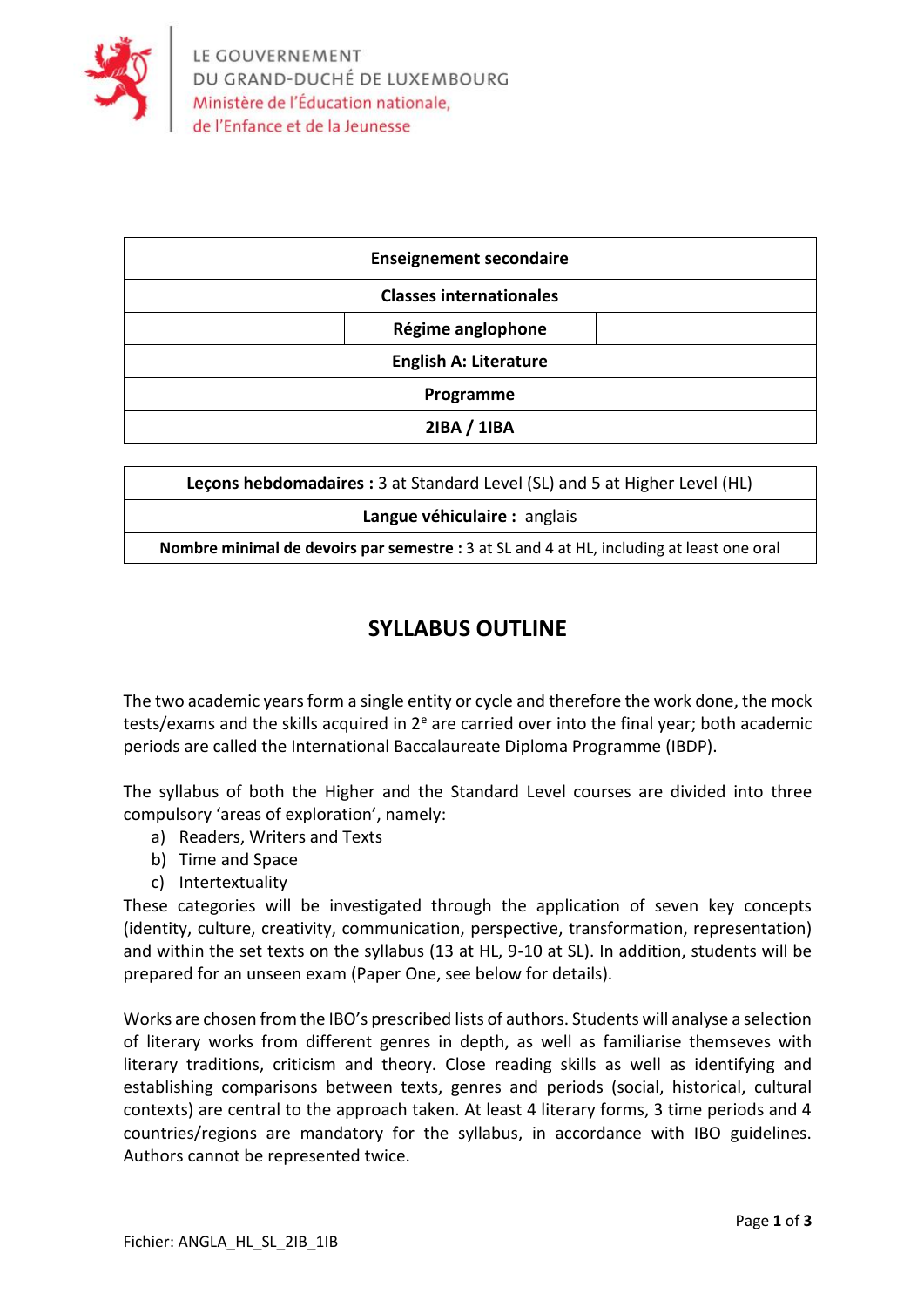

| <b>Enseignement secondaire</b> |                   |  |
|--------------------------------|-------------------|--|
| <b>Classes internationales</b> |                   |  |
|                                | Régime anglophone |  |
| <b>English A: Literature</b>   |                   |  |
| Programme                      |                   |  |
|                                | 2IBA / 1IBA       |  |

| Lecons hebdomadaires : 3 at Standard Level (SL) and 5 at Higher Level (HL)                |  |  |
|-------------------------------------------------------------------------------------------|--|--|
| Langue véhiculaire : anglais                                                              |  |  |
| Nombre minimal de devoirs par semestre : 3 at SL and 4 at HL, including at least one oral |  |  |

#### **SYLLABUS OUTLINE**

The two academic years form a single entity or cycle and therefore the work done, the mock tests/exams and the skills acquired in  $2<sup>e</sup>$  are carried over into the final year; both academic periods are called the International Baccalaureate Diploma Programme (IBDP).

The syllabus of both the Higher and the Standard Level courses are divided into three compulsory 'areas of exploration', namely:

- a) Readers, Writers and Texts
- b) Time and Space
- c) Intertextuality

These categories will be investigated through the application of seven key concepts (identity, culture, creativity, communication, perspective, transformation, representation) and within the set texts on the syllabus (13 at HL, 9-10 at SL). In addition, students will be prepared for an unseen exam (Paper One, see below for details).

Works are chosen from the IBO's prescribed lists of authors. Students will analyse a selection of literary works from different genres in depth, as well as familiarise themseves with literary traditions, criticism and theory. Close reading skills as well as identifying and establishing comparisons between texts, genres and periods (social, historical, cultural contexts) are central to the approach taken. At least 4 literary forms, 3 time periods and 4 countries/regions are mandatory for the syllabus, in accordance with IBO guidelines. Authors cannot be represented twice.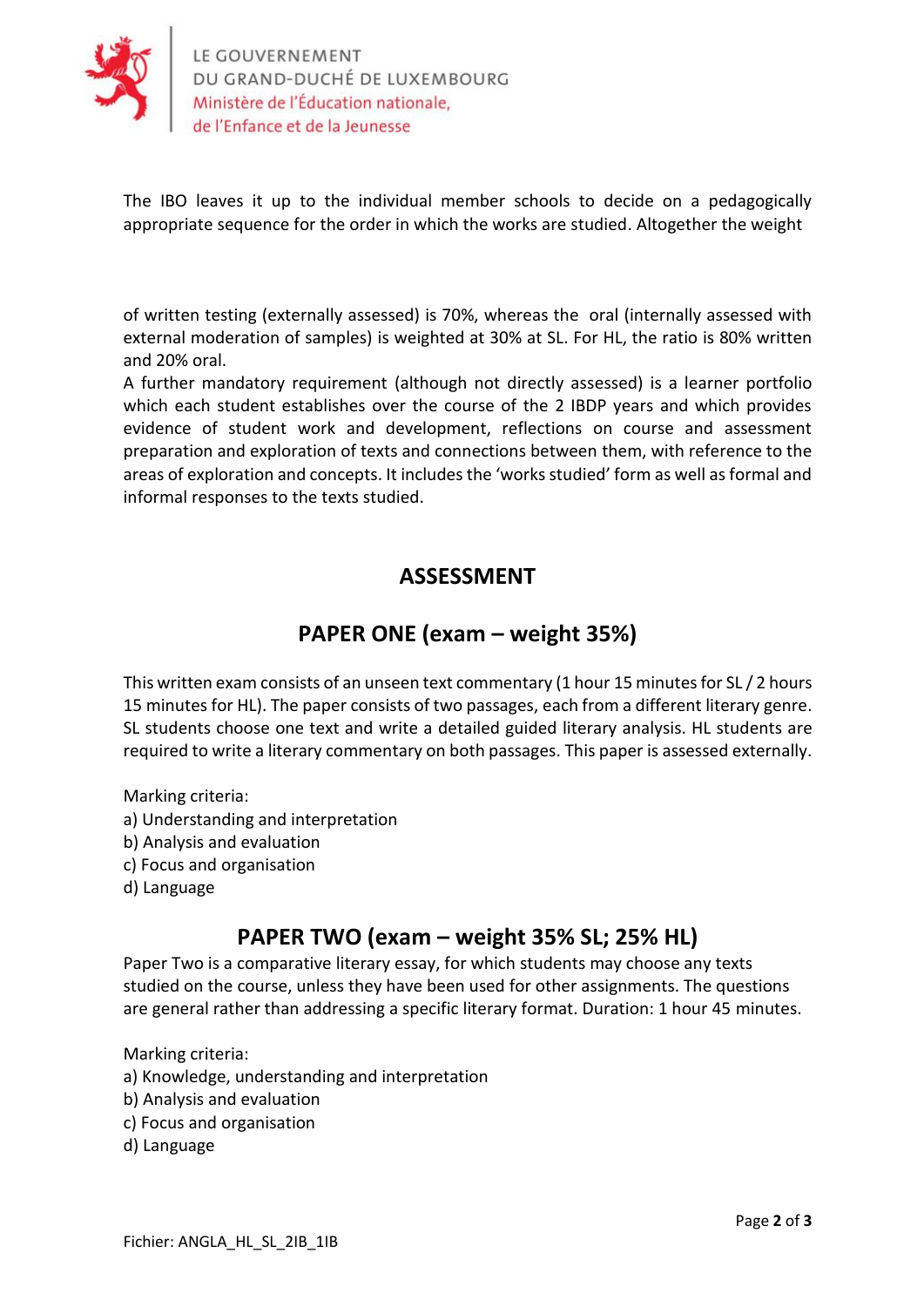

The IBO leaves it up to the individual member schools to decide on a pedagogically appropriate sequence for the order in which the works are studied. Altogether the weight

of written testing (externally assessed) is 70%, whereas the oral (internally assessed with external moderation of samples) is weighted at 30% at SL. For HL, the ratio is 80% written and 20% oral.

A further mandatory requirement (although not directly assessed) is a learner portfolio which each student establishes over the course of the 2 IBDP years and which provides evidence of student work and development, reflections on course and assessment preparation and exploration of texts and connections between them, with reference to the areas of exploration and concepts. It includes the 'works studied' form as well as formal and informal responses to the texts studied.

### **ASSESSMENT**

## **PAPER ONE (exam – weight 35%)**

This written exam consists of an unseen text commentary (1 hour 15 minutes for SL / 2 hours 15 minutes for HL). The paper consists of two passages, each from a different literary genre. SL students choose one text and write a detailed guided literary analysis. HL students are required to write a literary commentary on both passages. This paper is assessed externally.

Marking criteria:

- a) Understanding and interpretation
- b) Analysis and evaluation
- c) Focus and organisation
- d) Language

## **PAPER TWO (exam – weight 35% SL; 25% HL)**

Paper Two is a comparative literary essay, for which students may choose any texts studied on the course, unless they have been used for other assignments. The questions are general rather than addressing a specific literary format. Duration: 1 hour 45 minutes.

Marking criteria:

- a) Knowledge, understanding and interpretation
- b) Analysis and evaluation
- c) Focus and organisation
- d) Language